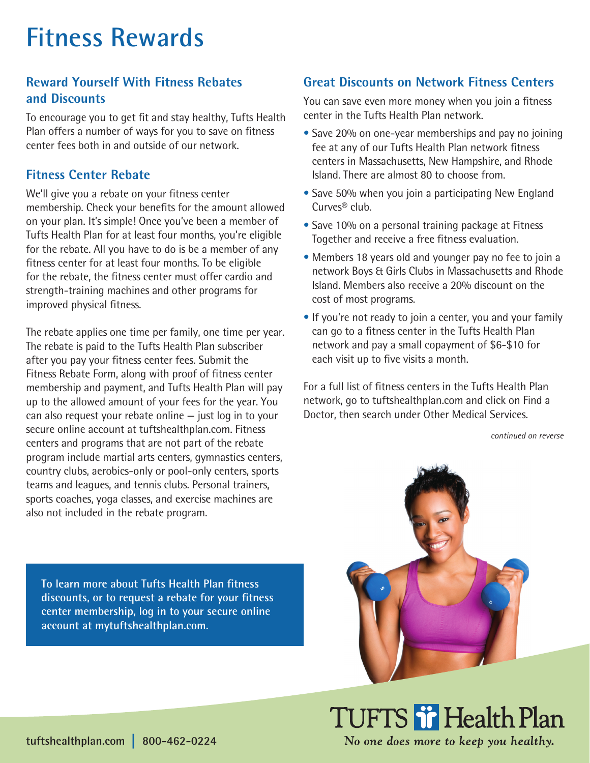# **Fitness Rewards**

## **Reward Yourself With Fitness Rebates and Discounts**

To encourage you to get fit and stay healthy, Tufts Health Plan offers a number of ways for you to save on fitness center fees both in and outside of our network.

### **Fitness Center Rebate**

We'll give you a rebate on your fitness center membership. Check your benefits for the amount allowed on your plan. It's simple! Once you've been a member of Tufts Health Plan for at least four months, you're eligible for the rebate. All you have to do is be a member of any fitness center for at least four months. To be eligible for the rebate, the fitness center must offer cardio and strength-training machines and other programs for improved physical fitness.

The rebate applies one time per family, one time per year. The rebate is paid to the Tufts Health Plan subscriber after you pay your fitness center fees. Submit the Fitness Rebate Form, along with proof of fitness center membership and payment, and Tufts Health Plan will pay up to the allowed amount of your fees for the year. You can also request your rebate online — just log in to your secure online account at tuftshealthplan.com. Fitness centers and programs that are not part of the rebate program include martial arts centers, gymnastics centers, country clubs, aerobics-only or pool-only centers, sports teams and leagues, and tennis clubs. Personal trainers, sports coaches, yoga classes, and exercise machines are also not included in the rebate program.

### **Great Discounts on Network Fitness Centers**

You can save even more money when you join a fitness center in the Tufts Health Plan network.

- Save 20% on one-year memberships and pay no joining fee at any of our Tufts Health Plan network fitness centers in Massachusetts, New Hampshire, and Rhode Island. There are almost 80 to choose from.
- Save 50% when you join a participating New England Curves® club.
- Save 10% on a personal training package at Fitness Together and receive a free fitness evaluation.
- Members 18 years old and younger pay no fee to join a network Boys & Girls Clubs in Massachusetts and Rhode Island. Members also receive a 20% discount on the cost of most programs.
- If you're not ready to join a center, you and your family can go to a fitness center in the Tufts Health Plan network and pay a small copayment of \$6-\$10 for each visit up to five visits a month.

For a full list of fitness centers in the Tufts Health Plan network, go to tuftshealthplan.com and click on Find a Doctor, then search under Other Medical Services.

*continued on reverse*

**To learn more about Tufts Health Plan fitness discounts, or to request a rebate for your fitness center membership, log in to your secure online account at mytuftshealthplan.com.**



TUFTS if Health Plan No one does more to keep you healthy.